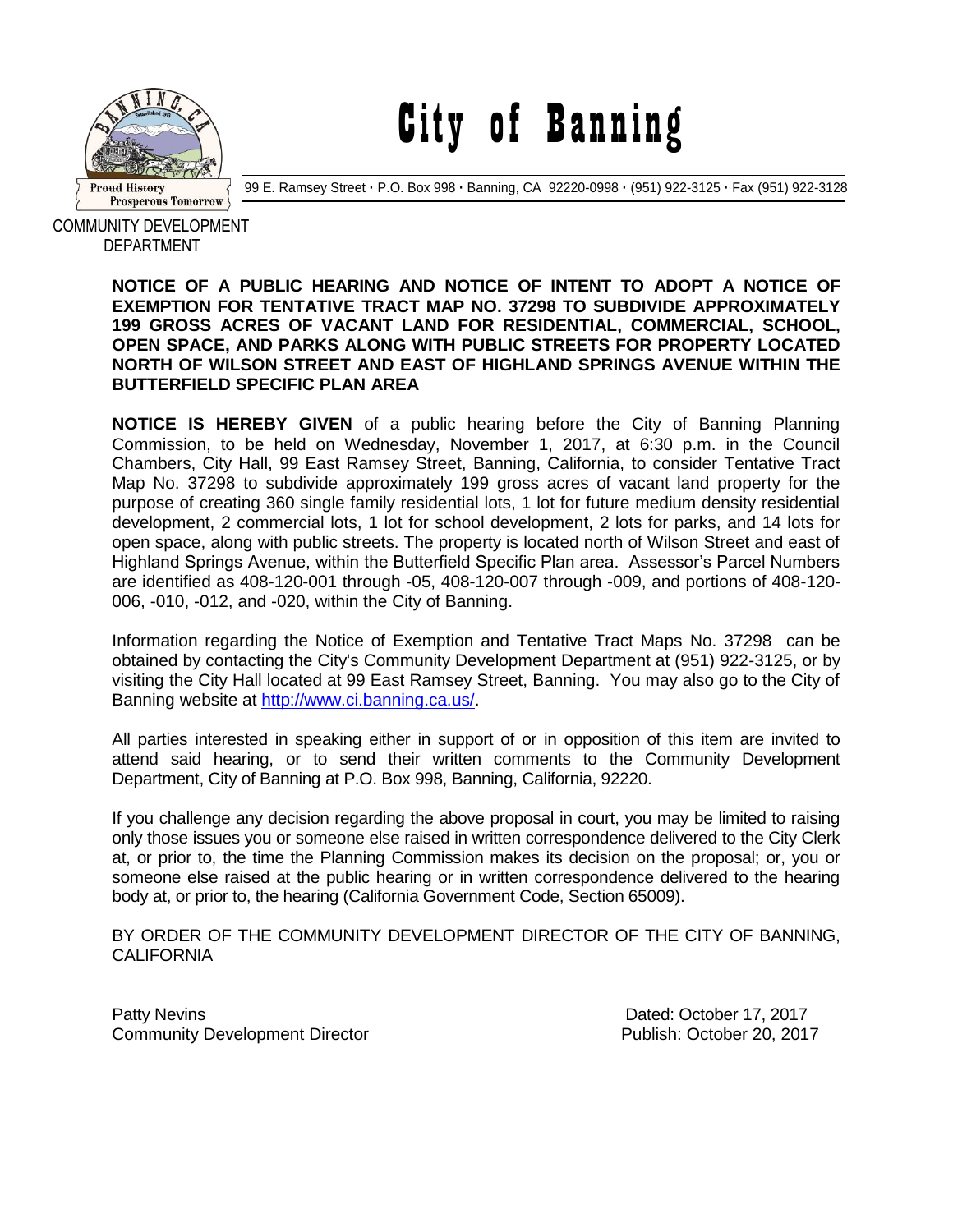

City of Banning

99 E. Ramsey Street **·** P.O. Box 998 **·** Banning, CA 92220-0998 **·** (951) 922-3125 **·** Fax (951) 922-3128

COMMUNITY DEVELOPMENT DEPARTMENT

## **NOTICE OF A PUBLIC HEARING AND NOTICE OF INTENT TO ADOPT A NOTICE OF EXEMPTION FOR TENTATIVE TRACT MAP NO. 37298 TO SUBDIVIDE APPROXIMATELY 199 GROSS ACRES OF VACANT LAND FOR RESIDENTIAL, COMMERCIAL, SCHOOL, OPEN SPACE, AND PARKS ALONG WITH PUBLIC STREETS FOR PROPERTY LOCATED NORTH OF WILSON STREET AND EAST OF HIGHLAND SPRINGS AVENUE WITHIN THE BUTTERFIELD SPECIFIC PLAN AREA**

**NOTICE IS HEREBY GIVEN** of a public hearing before the City of Banning Planning Commission, to be held on Wednesday, November 1, 2017, at 6:30 p.m. in the Council Chambers, City Hall, 99 East Ramsey Street, Banning, California, to consider Tentative Tract Map No. 37298 to subdivide approximately 199 gross acres of vacant land property for the purpose of creating 360 single family residential lots, 1 lot for future medium density residential development, 2 commercial lots, 1 lot for school development, 2 lots for parks, and 14 lots for open space, along with public streets. The property is located north of Wilson Street and east of Highland Springs Avenue, within the Butterfield Specific Plan area. Assessor's Parcel Numbers are identified as 408-120-001 through -05, 408-120-007 through -009, and portions of 408-120- 006, -010, -012, and -020, within the City of Banning.

Information regarding the Notice of Exemption and Tentative Tract Maps No. 37298 can be obtained by contacting the City's Community Development Department at (951) 922-3125, or by visiting the City Hall located at 99 East Ramsey Street, Banning. You may also go to the City of Banning website at [http://www.ci.banning.ca.us/.](http://www.ci.banning.ca.us/)

All parties interested in speaking either in support of or in opposition of this item are invited to attend said hearing, or to send their written comments to the Community Development Department, City of Banning at P.O. Box 998, Banning, California, 92220.

If you challenge any decision regarding the above proposal in court, you may be limited to raising only those issues you or someone else raised in written correspondence delivered to the City Clerk at, or prior to, the time the Planning Commission makes its decision on the proposal; or, you or someone else raised at the public hearing or in written correspondence delivered to the hearing body at, or prior to, the hearing (California Government Code, Section 65009).

BY ORDER OF THE COMMUNITY DEVELOPMENT DIRECTOR OF THE CITY OF BANNING, CALIFORNIA

Patty Nevins **Patty News** 2017 Community Development Director Publish: October 20, 2017